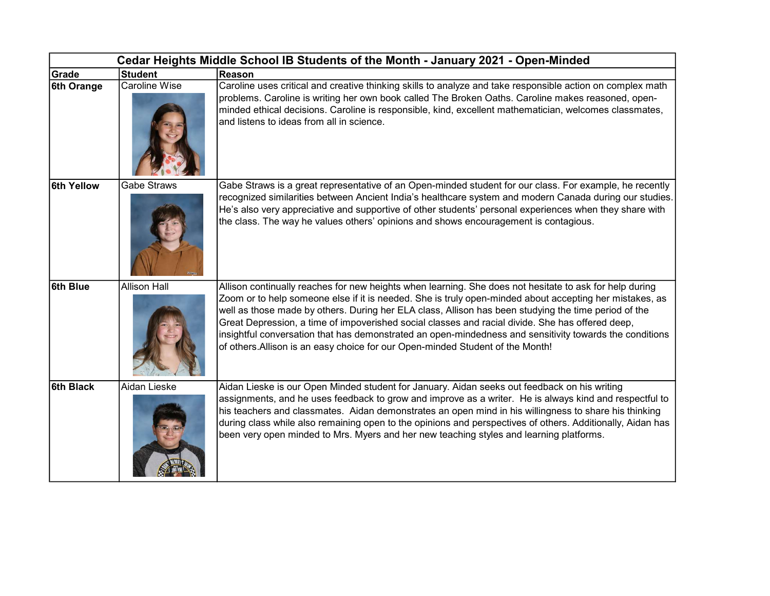| Cedar Heights Middle School IB Students of the Month - January 2021 - Open-Minded |                      |                                                                                                                                                                                                                                                                                                                                                                                                                                                                                                                                                                                                                             |  |  |
|-----------------------------------------------------------------------------------|----------------------|-----------------------------------------------------------------------------------------------------------------------------------------------------------------------------------------------------------------------------------------------------------------------------------------------------------------------------------------------------------------------------------------------------------------------------------------------------------------------------------------------------------------------------------------------------------------------------------------------------------------------------|--|--|
| Grade                                                                             | <b>Student</b>       | Reason                                                                                                                                                                                                                                                                                                                                                                                                                                                                                                                                                                                                                      |  |  |
| 6th Orange                                                                        | <b>Caroline Wise</b> | Caroline uses critical and creative thinking skills to analyze and take responsible action on complex math<br>problems. Caroline is writing her own book called The Broken Oaths. Caroline makes reasoned, open-<br>minded ethical decisions. Caroline is responsible, kind, excellent mathematician, welcomes classmates,<br>and listens to ideas from all in science.                                                                                                                                                                                                                                                     |  |  |
| 6th Yellow                                                                        | Gabe Straws          | Gabe Straws is a great representative of an Open-minded student for our class. For example, he recently<br>recognized similarities between Ancient India's healthcare system and modern Canada during our studies.<br>He's also very appreciative and supportive of other students' personal experiences when they share with<br>the class. The way he values others' opinions and shows encouragement is contagious.                                                                                                                                                                                                       |  |  |
| 6th Blue                                                                          | <b>Allison Hall</b>  | Allison continually reaches for new heights when learning. She does not hesitate to ask for help during<br>Zoom or to help someone else if it is needed. She is truly open-minded about accepting her mistakes, as<br>well as those made by others. During her ELA class, Allison has been studying the time period of the<br>Great Depression, a time of impoverished social classes and racial divide. She has offered deep,<br>insightful conversation that has demonstrated an open-mindedness and sensitivity towards the conditions<br>of others. Allison is an easy choice for our Open-minded Student of the Month! |  |  |
| 6th Black                                                                         | Aidan Lieske         | Aidan Lieske is our Open Minded student for January. Aidan seeks out feedback on his writing<br>assignments, and he uses feedback to grow and improve as a writer. He is always kind and respectful to<br>his teachers and classmates. Aidan demonstrates an open mind in his willingness to share his thinking<br>during class while also remaining open to the opinions and perspectives of others. Additionally, Aidan has<br>been very open minded to Mrs. Myers and her new teaching styles and learning platforms.                                                                                                    |  |  |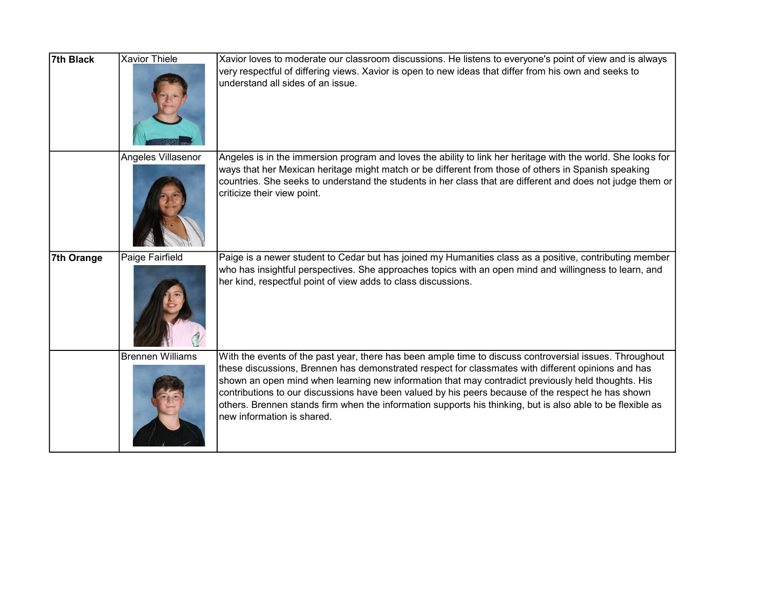| 7th Black  | <b>Xavior Thiele</b> | Xavior loves to moderate our classroom discussions. He listens to everyone's point of view and is always<br>very respectful of differing views. Xavior is open to new ideas that differ from his own and seeks to<br>understand all sides of an issue.                                                                                                                                                                                                                                                                                                                |
|------------|----------------------|-----------------------------------------------------------------------------------------------------------------------------------------------------------------------------------------------------------------------------------------------------------------------------------------------------------------------------------------------------------------------------------------------------------------------------------------------------------------------------------------------------------------------------------------------------------------------|
|            | Angeles Villasenor   | Angeles is in the immersion program and loves the ability to link her heritage with the world. She looks for<br>ways that her Mexican heritage might match or be different from those of others in Spanish speaking<br>countries. She seeks to understand the students in her class that are different and does not judge them or<br>criticize their view point.                                                                                                                                                                                                      |
| 7th Orange | Paige Fairfield      | Paige is a newer student to Cedar but has joined my Humanities class as a positive, contributing member<br>who has insightful perspectives. She approaches topics with an open mind and willingness to learn, and<br>her kind, respectful point of view adds to class discussions.                                                                                                                                                                                                                                                                                    |
|            | Brennen Williams     | With the events of the past year, there has been ample time to discuss controversial issues. Throughout<br>these discussions, Brennen has demonstrated respect for classmates with different opinions and has<br>shown an open mind when learning new information that may contradict previously held thoughts. His<br>contributions to our discussions have been valued by his peers because of the respect he has shown<br>others. Brennen stands firm when the information supports his thinking, but is also able to be flexible as<br>new information is shared. |